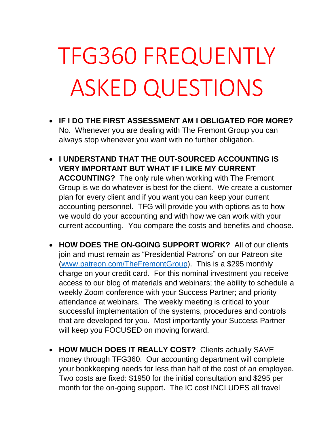## TFG360 FREQUENTLY ASKED QUESTIONS

- **IF I DO THE FIRST ASSESSMENT AM I OBLIGATED FOR MORE?**  No. Whenever you are dealing with The Fremont Group you can always stop whenever you want with no further obligation.
- **I UNDERSTAND THAT THE OUT-SOURCED ACCOUNTING IS VERY IMPORTANT BUT WHAT IF I LIKE MY CURRENT ACCOUNTING?** The only rule when working with The Fremont Group is we do whatever is best for the client. We create a customer plan for every client and if you want you can keep your current accounting personnel. TFG will provide you with options as to how we would do your accounting and with how we can work with your current accounting. You compare the costs and benefits and choose.
- **HOW DOES THE ON-GOING SUPPORT WORK?** All of our clients join and must remain as "Presidential Patrons" on our Patreon site [\(www.patreon.com/TheFremontGroup\)](http://www.patreon.com/TheFremontGroup). This is a \$295 monthly charge on your credit card. For this nominal investment you receive access to our blog of materials and webinars; the ability to schedule a weekly Zoom conference with your Success Partner; and priority attendance at webinars. The weekly meeting is critical to your successful implementation of the systems, procedures and controls that are developed for you. Most importantly your Success Partner will keep you FOCUSED on moving forward.
- **HOW MUCH DOES IT REALLY COST?** Clients actually SAVE money through TFG360. Our accounting department will complete your bookkeeping needs for less than half of the cost of an employee. Two costs are fixed: \$1950 for the initial consultation and \$295 per month for the on-going support. The IC cost INCLUDES all travel